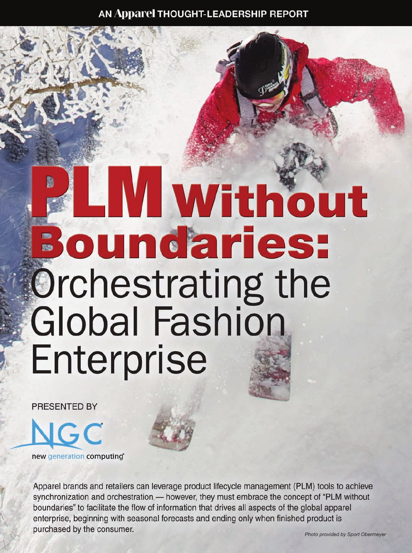# **LM without Boundaries:** Orchestrating the Global Fashion Enterprise

PRESENTED BY



new generation computing

Apparel brands and retailers can leverage product lifecycle management (PLM) tools to achieve synchronization and orchestration — however, they must embrace the concept of "PLM without boundaries" to facilitate the flow of information that drives all aspects of the global apparel enterprise, beginning with seasonal forecasts and ending only when finished product is purchased by the consumer.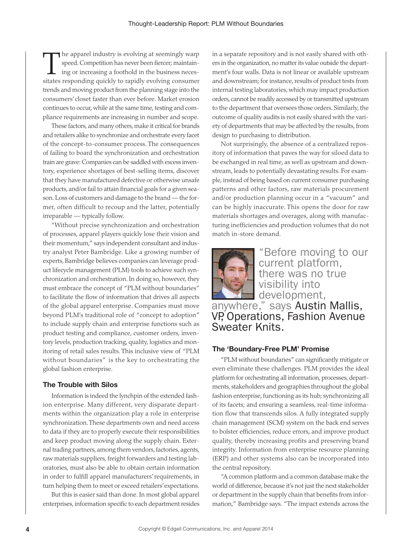The apparel industry is evolving at seemingly warp<br>speed. Competition has never been fiercer; maintain-<br>ing or increasing a foothold in the business neces-<br>sitates responding quickly to ranidly evolving consumer speed. Competition has never been fiercer; maintaining or increasing a foothold in the business necessitates responding quickly to rapidly evolving consumer trends and moving product from the planning stage into the consumers'closet faster than ever before. Market erosion continues to occur, while at the same time, testing and compliance requirements are increasing in number and scope.

These factors, and many others, make it critical for brands and retailers alike to synchronize and orchestrate every facet of the concept-to-consumer process. The consequences of failing to board the synchronization and orchestration train are grave: Companies can be saddled with excess inventory, experience shortages of best-selling items, discover that they have manufactured defective or otherwise unsafe products, and/or fail to attain financial goals for a given season. Loss of customers and damage to the brand — the former, often difficult to recoup and the latter, potentially irreparable — typically follow.

"Without precise synchronization and orchestration of processes, apparel players quickly lose their vision and their momentum," says independent consultant and industry analyst Peter Bambridge. Like a growing number of experts, Bambridge believes companies can leverage product lifecycle management (PLM) tools to achieve such synchronization and orchestration. In doing so, however, they must embrace the concept of "PLM without boundaries" to facilitate the flow of information that drives all aspects of the global apparel enterprise. Companies must move beyond PLM's traditional role of "concept to adoption" to include supply chain and enterprise functions such as product testing and compliance, customer orders, inventory levels, production tracking, quality, logistics and monitoring of retail sales results. This inclusive view of "PLM without boundaries" is the key to orchestrating the global fashion enterprise.

#### **The Trouble with Silos**

Information is indeed the lynchpin of the extended fashion enterprise. Many different, very disparate departments within the organization play a role in enterprise synchronization.These departments own and need access to data if they are to properly execute their responsibilities and keep product moving along the supply chain. External trading partners, among them vendors, factories, agents, raw materials suppliers, freight forwarders and testing laboratories, must also be able to obtain certain information in order to fulfill apparel manufacturers' requirements, in turn helping them to meet or exceed retailers'expectations.

But this is easier said than done. In most global apparel enterprises, information specific to each department resides in a separate repository and is not easily shared with others in the organization, no matter its value outside the department's four walls. Data is not linear or available upstream and downstream; for instance, results of product tests from internal testing laboratories, which may impact production orders, cannot be readily accessed by or transmitted upstream to the department that oversees those orders. Similarly, the outcome of quality audits is not easily shared with the variety of departments that may be affected by the results, from design to purchasing to distribution.

Not surprisingly, the absence of a centralized repository of information that paves the way for siloed data to be exchanged in real time, as well as upstream and downstream, leads to potentially devastating results. For example, instead of being based on current consumer purchasing patterns and other factors, raw materials procurement and/or production planning occur in a "vacuum" and can be highly inaccurate. This opens the door for raw materials shortages and overages, along with manufacturing inefficiencies and production volumes that do not match in-store demand.



"Before moving to our current platform, there was no true visibility into development,

anywhere," says Austin Mallis, VP, Operations, Fashion Avenue Sweater Knits.

#### **The 'Boundary-Free PLM' Promise**

"PLM without boundaries" can significantly mitigate or even eliminate these challenges. PLM provides the ideal platform for orchestrating all information, processes, departments, stakeholders and geographies throughout the global fashion enterprise, functioning as its hub; synchronizing all of its facets; and ensuring a seamless, real-time information flow that transcends silos. A fully integrated supply chain management (SCM) system on the back end serves to bolster efficiencies, reduce errors, and improve product quality, thereby increasing profits and preserving brand integrity. Information from enterprise resource planning (ERP) and other systems also can be incorporated into the central repository.

"A common platform and a common database make the world of difference, because it's not just the next stakeholder or department in the supply chain that benefits from information," Bambridge says. "The impact extends across the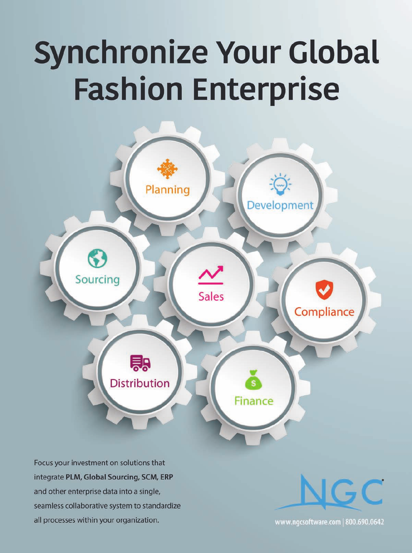## **Synchronize Your Global Fashion Enterprise**



Focus your investment on solutions that integrate PLM, Global Sourcing, SCM, ERP and other enterprise data into a single, seamless collaborative system to standardize all processes within your organization.



www.ngcsoftware.com | 800.690.0642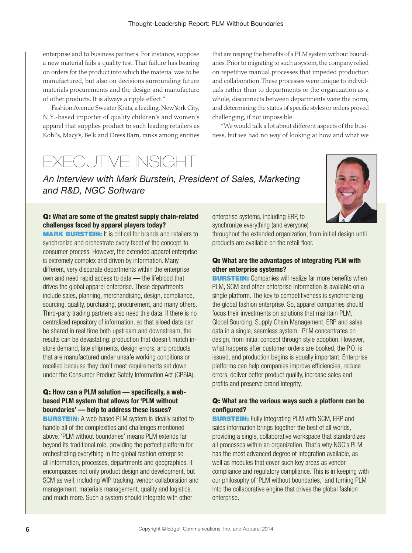enterprise and to business partners. For instance, suppose a new material fails a quality test. That failure has bearing on orders for the product into which the material was to be manufactured, but also on decisions surrounding future materials procurements and the design and manufacture of other products. It is always a ripple effect."

Fashion Avenue Sweater Knits, a leading, New York City, N.Y.-based importer of quality children's and women's apparel that supplies product to such leading retailers as Kohl's, Macy's, Belk and Dress Barn, ranks among entities

that are reaping the benefits of a PLM system without boundaries. Prior to migrating to such a system, the company relied on repetitive manual processes that impeded production and collaboration.These processes were unique to individuals rather than to departments or the organization as a whole, disconnects between departments were the norm, and determining the status of specific styles or orders proved challenging, if not impossible.

"We would talk a lot about different aspects of the business, but we had no way of looking at how and what we

### EXECUTIVE INSIGHT:

*An Interview with Mark Burstein, President of Sales, Marketing and R&D, NGC Software*

#### **Q: What are some of the greatest supply chain-related challenges faced by apparel players today?**

**MARK BURSTEIN:** It is critical for brands and retailers to synchronize and orchestrate every facet of the concept-toconsumer process. However, the extended apparel enterprise is extremely complex and driven by information. Many different, very disparate departments within the enterprise own and need rapid access to data — the lifeblood that drives the global apparel enterprise. These departments include sales, planning, merchandising, design, compliance, sourcing, quality, purchasing, procurement, and many others. Third-party trading partners also need this data. If there is no centralized repository of information, so that siloed data can be shared in real time both upstream and downstream, the results can be devastating: production that doesn't match instore demand, late shipments, design errors, and products that are manufactured under unsafe working conditions or recalled because they don't meet requirements set down under the Consumer Product Safety Information Act (CPSIA).

#### **Q: How can a PLM solution — specifically, a webbased PLM system that allows for 'PLM without boundaries' — help to address these issues? BURSTEIN:** A web-based PLM system is ideally suited to handle all of the complexities and challenges mentioned

above. 'PLM without boundaries' means PLM extends far beyond its traditional role, providing the perfect platform for orchestrating everything in the global fashion enterprise all information, processes, departments and geographies. It encompasses not only product design and development, but SCM as well, including WIP tracking, vendor collaboration and management, materials management, quality and logistics, and much more. Such a system should integrate with other

enterprise systems, including ERP, to synchronize everything (and everyone)

throughout the extended organization, from initial design until products are available on the retail floor.

#### **Q: What are the advantages of integrating PLM with other enterprise systems?**

**BURSTEIN:** Companies will realize far more benefits when PLM, SCM and other enterprise information is available on a single platform. The key to competitiveness is synchronizing the global fashion enterprise. So, apparel companies should focus their investments on solutions that maintain PLM, Global Sourcing, Supply Chain Management, ERP and sales data in a single, seamless system. PLM concentrates on design, from initial concept through style adoption. However, what happens after customer orders are booked, the P.O. is issued, and production begins is equally important. Enterprise platforms can help companies improve efficiencies, reduce errors, deliver better product quality, increase sales and profits and preserve brand integrity.

#### **Q: What are the various ways such a platform can be configured?**

**BURSTEIN:** Fully integrating PLM with SCM, ERP and sales information brings together the best of all worlds, providing a single, collaborative workspace that standardizes all processes within an organization. That's why NGC's PLM has the most advanced degree of integration available, as well as modules that cover such key areas as vendor compliance and regulatory compliance. This is in keeping with our philosophy of 'PLM without boundaries,' and turning PLM into the collaborative engine that drives the global fashion enterprise.